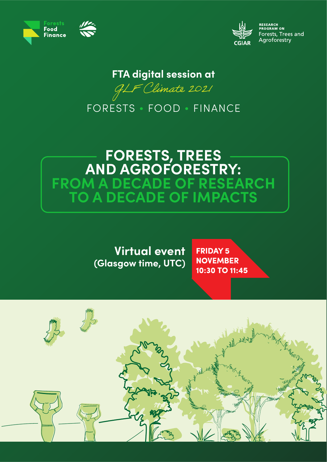



ESEARCH<br>ROGRAM ON Forests, Trees and Agroforestry

## **FTA digital session at**

GLF Climate 2021

FORESTS • FOOD • FINANCE

# **FORESTS, TREES AND AGROFORESTRY: FROM A DECADE OF RESEARCH TO A DECADE OF IMPACTS**

**Virtual event (Glasgow time, UTC)** **FRIDAY 5 NOVEMBER** 10:30 TO 11:45

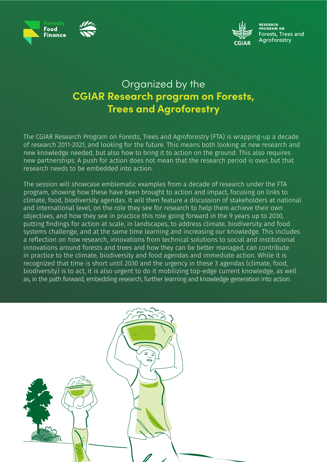



-----------<br>ROGRAM ON Forests, Trees and Aaroforestry

## Organized by the **CGIAR Research program on Forests, Trees and Agroforestry**

The CGIAR Research Program on Forests, Trees and Agroforestry (FTA) is wrapping-up a decade of research 2011-2021, and looking for the future. This means both looking at new research and new knowledge needed, but also how to bring it to action on the ground. This also requires new partnerships. A push for action does not mean that the research period is over, but that research needs to be embedded into action.

The session will showcase emblematic examples from a decade of research under the FTA program, showing how these have been brought to action and impact, focusing on links to climate, food, biodiversity agendas. It will then feature a discussion of stakeholders at national and international level, on the role they see for research to help them achieve their own objectives, and how they see in practice this role going forward in the 9 years up to 2030, putting findings for action at scale, in landscapes, to address climate, biodiversity and food systems challenge, and at the same time learning and increasing our knowledge. This includes a reflection on how research, innovations from technical solutions to social and institutional innovations around forests and trees and how they can be better managed, can contribute in practice to the climate, biodiversity and food agendas and immediate action. While it is recognized that time is short until 2030 and the urgency in these 3 agendas (climate, food, biodiversity) is to act, it is also urgent to do it mobilizing top-edge current knowledge, as well as, in the path forward, embedding research, further learning and knowledge generation into action.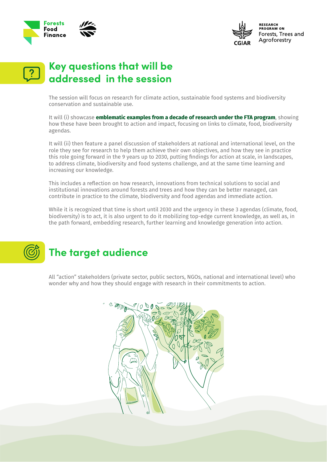



**RESEARCH**<br>PROGRAM ON Forests, Trees and Agroforestry

## **Key questions that will be addressed in the session**

The session will focus on research for climate action, sustainable food systems and biodiversity conservation and sustainable use.

It will (i) showcase **emblematic examples from a decade of research under the FTA program**, showing how these have been brought to action and impact, focusing on links to climate, food, biodiversity agendas.

It will (ii) then feature a panel discussion of stakeholders at national and international level, on the role they see for research to help them achieve their own objectives, and how they see in practice this role going forward in the 9 years up to 2030, putting findings for action at scale, in landscapes, to address climate, biodiversity and food systems challenge, and at the same time learning and increasing our knowledge.

This includes a reflection on how research, innovations from technical solutions to social and institutional innovations around forests and trees and how they can be better managed, can contribute in practice to the climate, biodiversity and food agendas and immediate action.

While it is recognized that time is short until 2030 and the urgency in these 3 agendas (climate, food, biodiversity) is to act, it is also urgent to do it mobilizing top-edge current knowledge, as well as, in the path forward, embedding research, further learning and knowledge generation into action.

# **The target audience**

All "action" stakeholders (private sector, public sectors, NGOs, national and international level) who wonder why and how they should engage with research in their commitments to action.